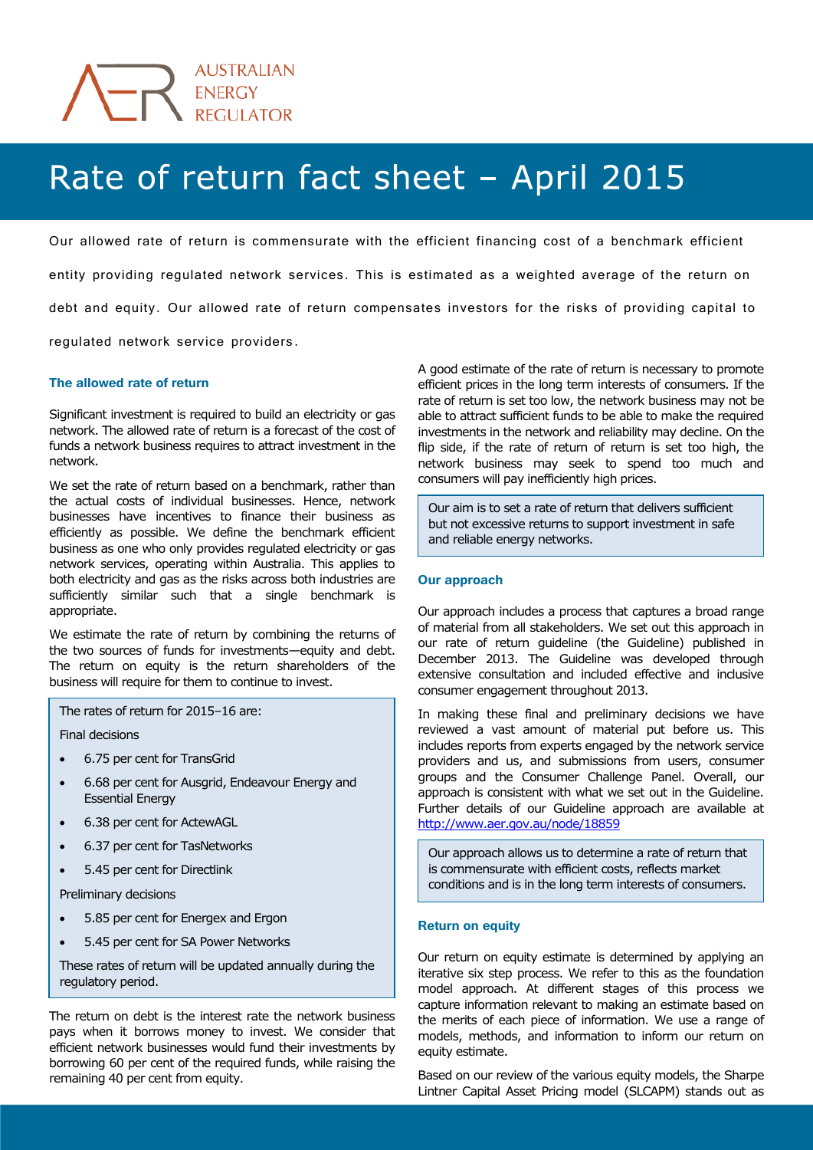

# Rate of return fact sheet - April 2015

Our allowed rate of return is commensurate with the efficient financing cost of a benchmark efficient entity providing regulated network services. This is estimated as a weighted average of the return on debt and equity. Our allowed rate of return compensates investors for the risks of providing capital to regulated network service providers.

### **The allowed rate of return**

Significant investment is required to build an electricity or gas network. The allowed rate of return is a forecast of the cost of funds a network business requires to attract investment in the network.

We set the rate of return based on a benchmark, rather than the actual costs of individual businesses. Hence, network businesses have incentives to finance their business as efficiently as possible. We define the benchmark efficient business as one who only provides regulated electricity or gas network services, operating within Australia. This applies to both electricity and gas as the risks across both industries are sufficiently similar such that a single benchmark is appropriate.

We estimate the rate of return by combining the returns of the two sources of funds for investments—equity and debt. The return on equity is the return shareholders of the business will require for them to continue to invest.

The rates of return for 2015–16 are:

Final decisions

- 6.75 per cent for TransGrid
- 6.68 per cent for Ausgrid, Endeavour Energy and Essential Energy
- 6.38 per cent for ActewAGL
- 6.37 per cent for TasNetworks
- 5.45 per cent for Directlink

Preliminary decisions

- 5.85 per cent for Energex and Ergon
- 5.45 per cent for SA Power Networks

These rates of return will be updated annually during the regulatory period.

The return on debt is the interest rate the network business pays when it borrows money to invest. We consider that efficient network businesses would fund their investments by borrowing 60 per cent of the required funds, while raising the remaining 40 per cent from equity.

A good estimate of the rate of return is necessary to promote efficient prices in the long term interests of consumers. If the rate of return is set too low, the network business may not be able to attract sufficient funds to be able to make the required investments in the network and reliability may decline. On the flip side, if the rate of return of return is set too high, the network business may seek to spend too much and consumers will pay inefficiently high prices.

Our aim is to set a rate of return that delivers sufficient but not excessive returns to support investment in safe and reliable energy networks.

## **Our approach**

Our approach includes a process that captures a broad range of material from all stakeholders. We set out this approach in our rate of return guideline (the Guideline) published in December 2013. The Guideline was developed through extensive consultation and included effective and inclusive consumer engagement throughout 2013.

In making these final and preliminary decisions we have reviewed a vast amount of material put before us. This includes reports from experts engaged by the network service providers and us, and submissions from users, consumer groups and the Consumer Challenge Panel. Overall, our approach is consistent with what we set out in the Guideline. Further details of our Guideline approach are available at <http://www.aer.gov.au/node/18859>

Our approach allows us to determine a rate of return that is commensurate with efficient costs, reflects market conditions and is in the long term interests of consumers.

#### **Return on equity**

Our return on equity estimate is determined by applying an iterative six step process. We refer to this as the foundation model approach. At different stages of this process we capture information relevant to making an estimate based on the merits of each piece of information. We use a range of models, methods, and information to inform our return on equity estimate.

Based on our review of the various equity models, the Sharpe Lintner Capital Asset Pricing model (SLCAPM) stands out as